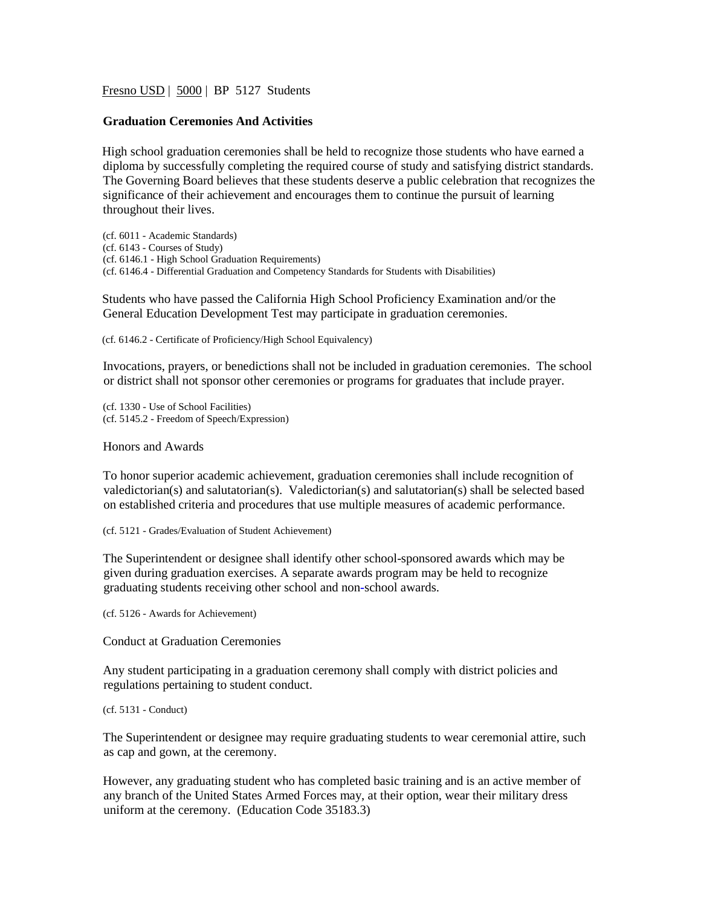Fresno USD | 5000 | BP 5127 Students

## **Graduation Ceremonies And Activities**

High school graduation ceremonies shall be held to recognize those students who have earned a diploma by successfully completing the required course of study and satisfying district standards. The Governing Board believes that these students deserve a public celebration that recognizes the significance of their achievement and encourages them to continue the pursuit of learning throughout their lives.

(cf. 6011 - Academic Standards) (cf. 6143 - Courses of Study) (cf. 6146.1 - High School Graduation Requirements) (cf. 6146.4 - Differential Graduation and Competency Standards for Students with Disabilities)

Students who have passed the California High School Proficiency Examination and/or the General Education Development Test may participate in graduation ceremonies.

(cf. 6146.2 - Certificate of Proficiency/High School Equivalency)

Invocations, prayers, or benedictions shall not be included in graduation ceremonies. The school or district shall not sponsor other ceremonies or programs for graduates that include prayer.

(cf. 1330 - Use of School Facilities) (cf. 5145.2 - Freedom of Speech/Expression)

## Honors and Awards

To honor superior academic achievement, graduation ceremonies shall include recognition of valedictorian(s) and salutatorian(s). Valedictorian(s) and salutatorian(s) shall be selected based on established criteria and procedures that use multiple measures of academic performance.

(cf. 5121 - Grades/Evaluation of Student Achievement)

The Superintendent or designee shall identify other school-sponsored awards which may be given during graduation exercises. A separate awards program may be held to recognize graduating students receiving other school and non**-**school awards.

(cf. 5126 - Awards for Achievement)

Conduct at Graduation Ceremonies

Any student participating in a graduation ceremony shall comply with district policies and regulations pertaining to student conduct.

## (cf. 5131 - Conduct)

The Superintendent or designee may require graduating students to wear ceremonial attire, such as cap and gown, at the ceremony.

However, any graduating student who has completed basic training and is an active member of any branch of the United States Armed Forces may, at their option, wear their military dress uniform at the ceremony. (Education Code 35183.3)